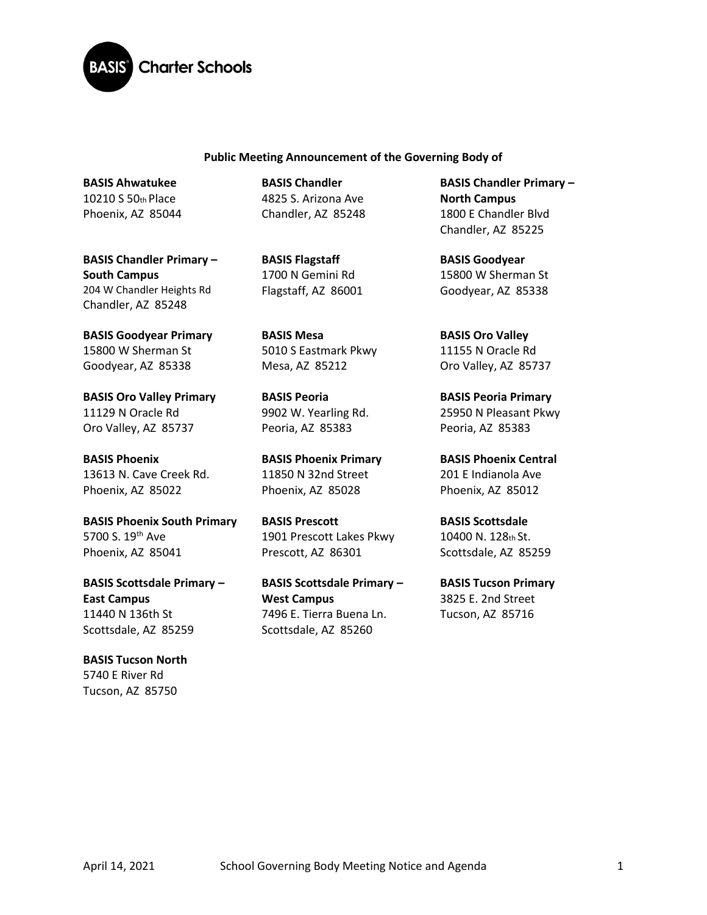

## **Public Meeting Announcement of the Governing Body of**

**BASIS Ahwatukee**  10210 S 50th Place Phoenix, AZ 85044

**BASIS Chandler Primary – South Campus**  204 W Chandler Heights Rd Chandler, AZ 85248

**BASIS Goodyear Primary**  15800 W Sherman St Goodyear, AZ 85338

**BASIS Oro Valley Primary**  11129 N Oracle Rd Oro Valley, AZ 85737

**BASIS Phoenix**  13613 N. Cave Creek Rd. Phoenix, AZ 85022

**BASIS Phoenix South Primary**  5700 S. 19<sup>th</sup> Ave Phoenix, AZ 85041

**BASIS Scottsdale Primary – East Campus** 11440 N 136th St Scottsdale, AZ 85259

**BASIS Tucson North**  5740 E River Rd Tucson, AZ 85750

**BASIS Chandler**  4825 S. Arizona Ave Chandler, AZ 85248

**BASIS Flagstaff**  1700 N Gemini Rd Flagstaff, AZ 86001

**BASIS Mesa**  5010 S Eastmark Pkwy Mesa, AZ 85212

**BASIS Peoria**  9902 W. Yearling Rd. Peoria, AZ 85383

**BASIS Phoenix Primary** 11850 N 32nd Street Phoenix, AZ 85028

**BASIS Prescott**  1901 Prescott Lakes Pkwy Prescott, AZ 86301

**BASIS Scottsdale Primary – West Campus** 7496 E. Tierra Buena Ln. Scottsdale, AZ 85260

**BASIS Chandler Primary – North Campus**  1800 E Chandler Blvd Chandler, AZ 85225

**BASIS Goodyear**  15800 W Sherman St Goodyear, AZ 85338

**BASIS Oro Valley**  11155 N Oracle Rd Oro Valley, AZ 85737

**BASIS Peoria Primary**  25950 N Pleasant Pkwy Peoria, AZ 85383

**BASIS Phoenix Central**  201 E Indianola Ave Phoenix, AZ 85012

**BASIS Scottsdale**  10400 N. 128th St. Scottsdale, AZ 85259

**BASIS Tucson Primary**  3825 E. 2nd Street Tucson, AZ 85716